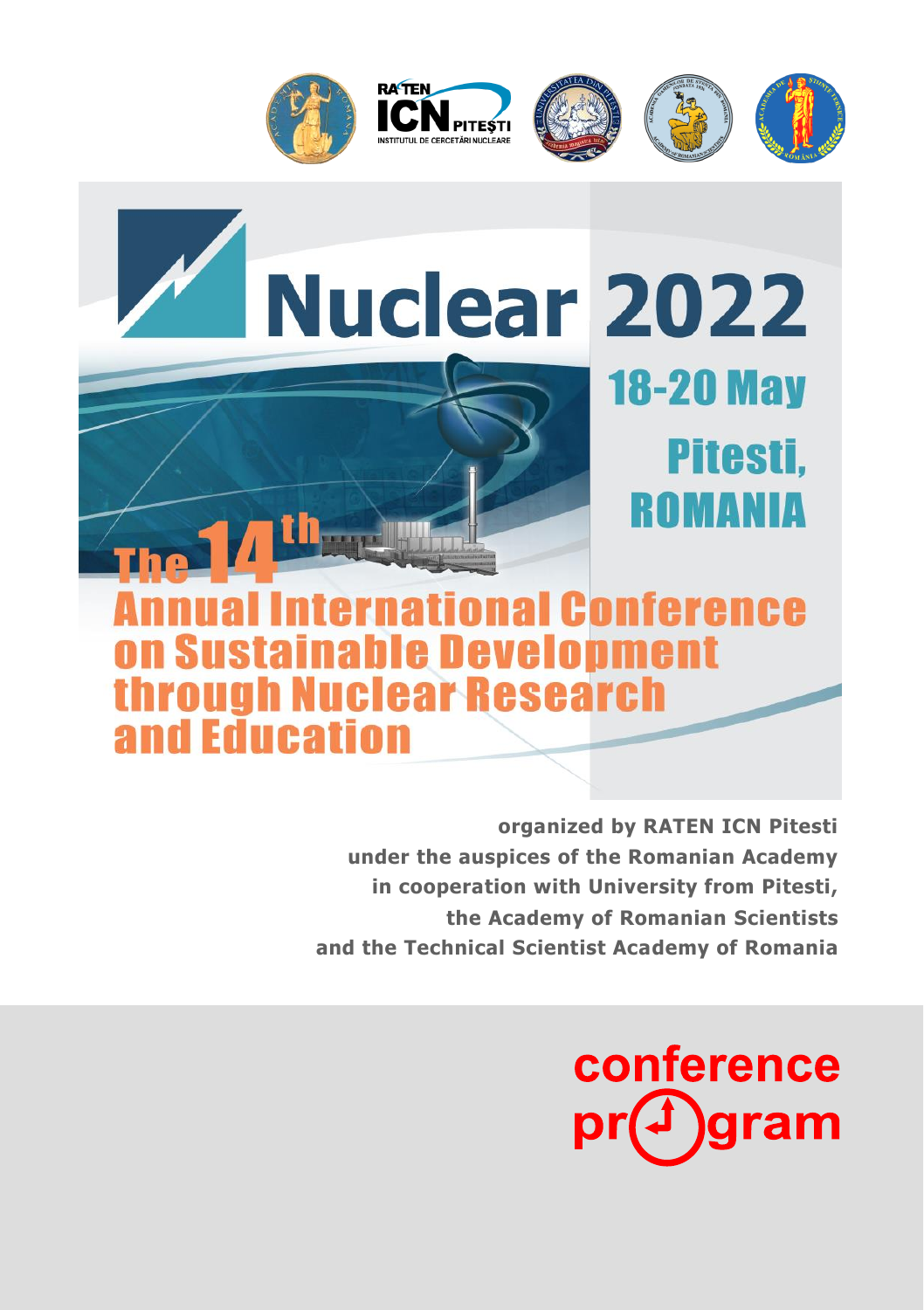

# **Nuclear 2022 18-20 May** Pitesti, ROMANIA ional Conference e Develonment hrough Nuclear Research and Education

**organized by RATEN ICN Pitesti under the auspices of the Romanian Academy in cooperation with University from Pitesti, the Academy of Romanian Scientists and the Technical Scientist Academy of Romania**

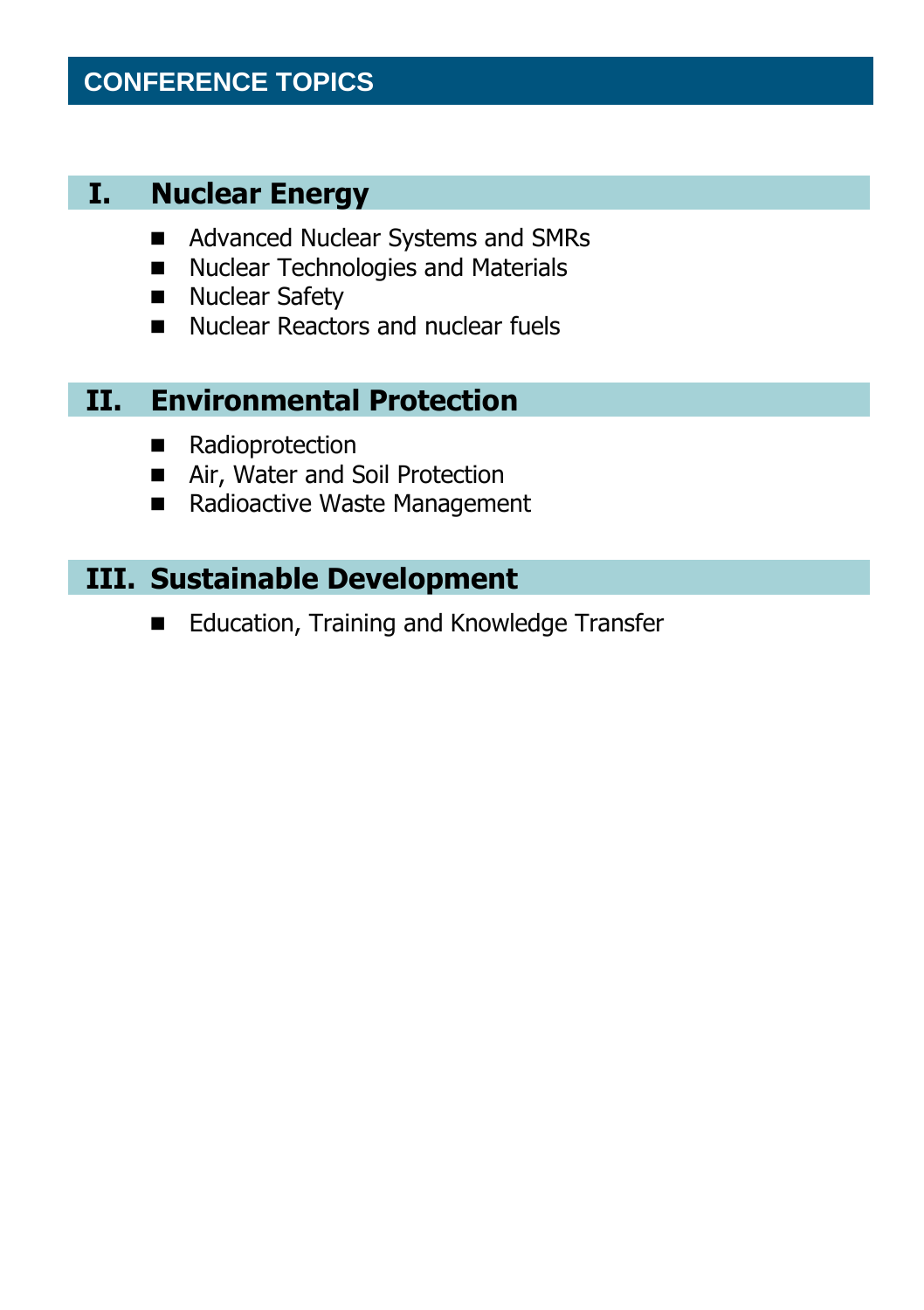## **CONFERENCE TOPICS**

#### **I. Nuclear Energy**

- Advanced Nuclear Systems and SMRs
- Nuclear Technologies and Materials
- Nuclear Safety
- Nuclear Reactors and nuclear fuels

## **II. Environmental Protection**

- Radioprotection
- Air, Water and Soil Protection
- Radioactive Waste Management

#### **III. Sustainable Development**

■ Education, Training and Knowledge Transfer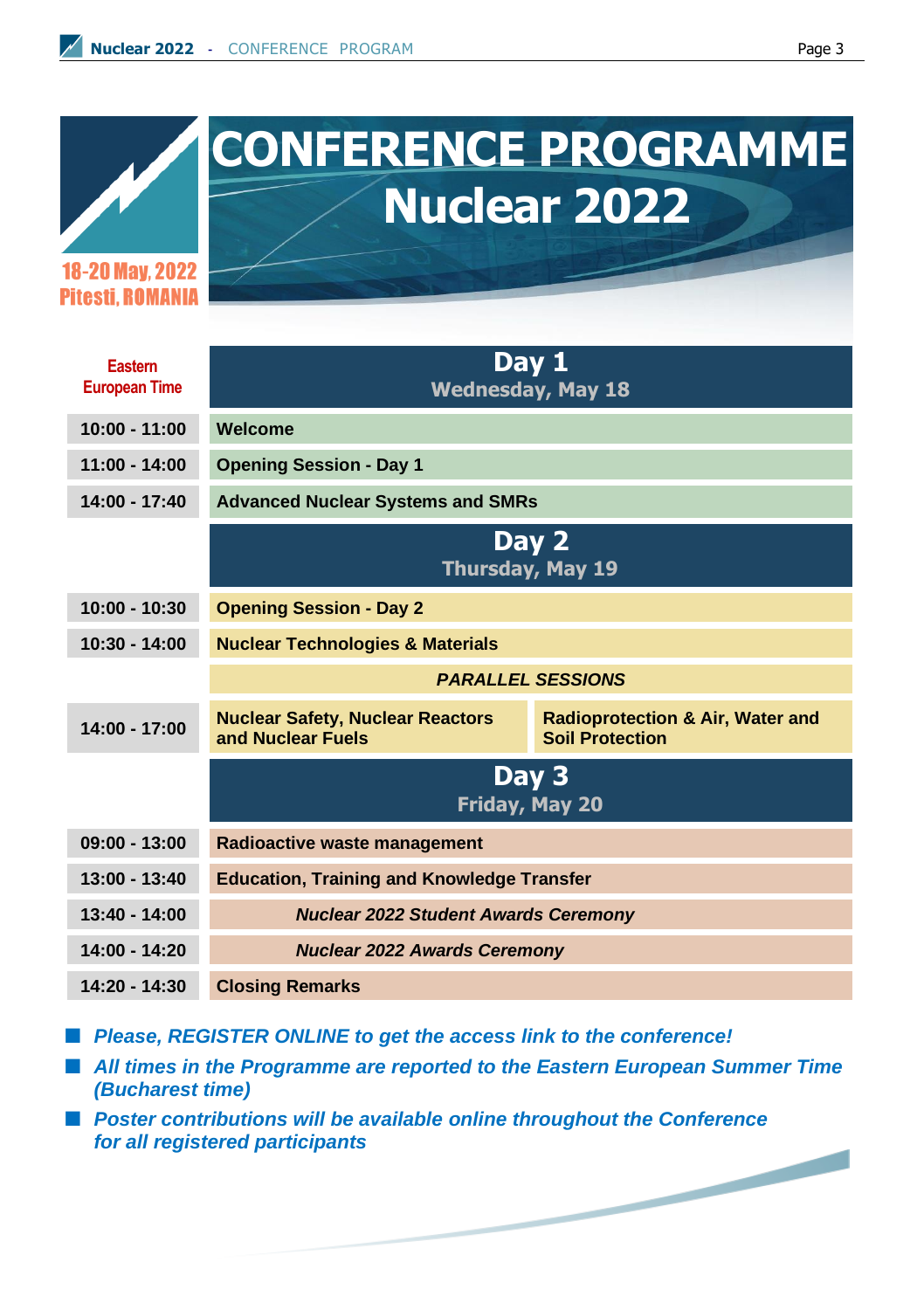

# **CONFERENCE PROGRAMME Nuclear 2022**

18-20 May. 2022 **Pitesti ROMANIA** 

| Eastern<br><b>European Time</b> |                                                              | Day 1<br><b>Wednesday, May 18</b>                                     |
|---------------------------------|--------------------------------------------------------------|-----------------------------------------------------------------------|
| $10:00 - 11:00$                 | Welcome                                                      |                                                                       |
| $11:00 - 14:00$                 | <b>Opening Session - Day 1</b>                               |                                                                       |
| $14:00 - 17:40$                 | <b>Advanced Nuclear Systems and SMRs</b>                     |                                                                       |
|                                 |                                                              | Day 2<br><b>Thursday, May 19</b>                                      |
| $10:00 - 10:30$                 | <b>Opening Session - Day 2</b>                               |                                                                       |
| $10:30 - 14:00$                 | <b>Nuclear Technologies &amp; Materials</b>                  |                                                                       |
|                                 |                                                              | <b>PARALLEL SESSIONS</b>                                              |
| $14:00 - 17:00$                 | <b>Nuclear Safety, Nuclear Reactors</b><br>and Nuclear Fuels | <b>Radioprotection &amp; Air, Water and</b><br><b>Soil Protection</b> |
|                                 |                                                              | Day 3<br>Friday, May 20                                               |
| $09:00 - 13:00$                 | Radioactive waste management                                 |                                                                       |
| $13:00 - 13:40$                 | <b>Education, Training and Knowledge Transfer</b>            |                                                                       |
| $13:40 - 14:00$                 | <b>Nuclear 2022 Student Awards Ceremony</b>                  |                                                                       |
| $14:00 - 14:20$                 | <b>Nuclear 2022 Awards Ceremony</b>                          |                                                                       |
| $14:20 - 14:30$                 | <b>Closing Remarks</b>                                       |                                                                       |

■ Please, REGISTER ONLINE to get the access link to the conference!

■ All times in the Programme are reported to the Eastern European Summer Time *(Bucharest time)*

■ Poster contributions will be available online throughout the Conference *for all registered participants*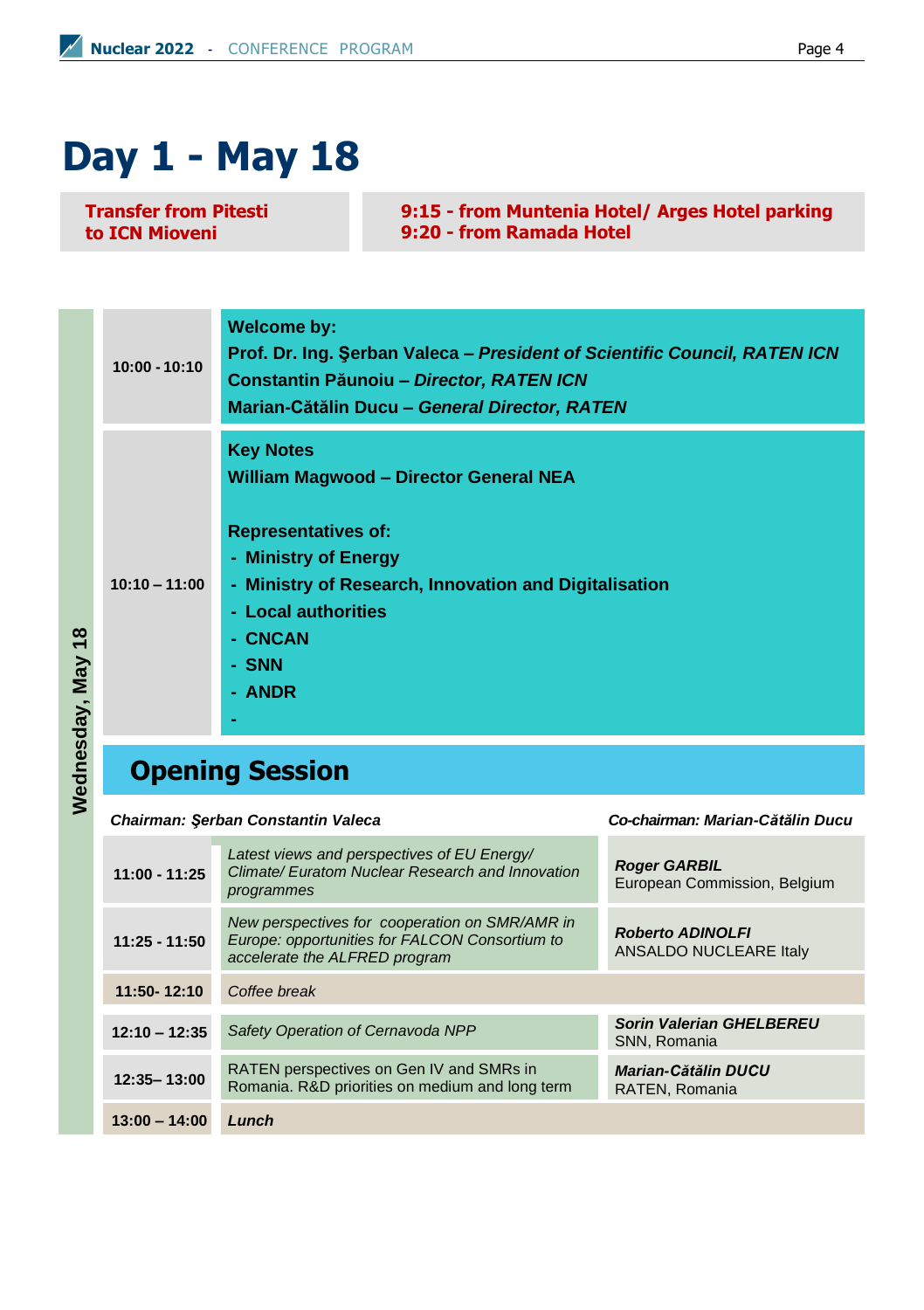# **Day 1 - May 18**

**Transfer from Pitesti to ICN Mioveni**

**9:15 - from Muntenia Hotel/ Arges Hotel parking 9:20 - from Ramada Hotel**

**10:00 - 10:10 Welcome by: Prof. Dr. Ing. Şerban Valeca –** *President of Scientific Council, RATEN ICN* **Constantin Păunoiu –** *Director, RATEN ICN* **Marian-Cătălin Ducu –** *General Director, RATEN* **Key Notes William Magwood – Director General NEA** 

**- Ministry of Research, Innovation and Digitalisation**

**Representatives of:**

**- Ministry of Energy**

**10:10 – 11:00**

- **- Local authorities**
- **- CNCAN**
- **- SNN**
- **- ANDR**

Wednesday, May 18 **Wednesday, May 18**

**Opening Session**

**-**

*Chairman: Şerban Constantin Valeca Co-chairman: Marian-Cătălin Ducu*

| $11:00 - 11:25$ | Latest views and perspectives of EU Energy/<br>Climate/ Euratom Nuclear Research and Innovation<br>programmes                               | <b>Roger GARBIL</b><br>European Commission, Belgium |
|-----------------|---------------------------------------------------------------------------------------------------------------------------------------------|-----------------------------------------------------|
| $11:25 - 11:50$ | New perspectives for cooperation on SMR/AMR in<br>Europe: opportunities for FALCON Consortium to<br>accelerate the ALFRED program           | <b>Roberto ADINOLFI</b><br>ANSALDO NUCLEARE Italy   |
| 11:50-12:10     | Coffee break                                                                                                                                |                                                     |
| $12:10 - 12:35$ | Safety Operation of Cernavoda NPP                                                                                                           | <b>Sorin Valerian GHELBEREU</b><br>SNN, Romania     |
| 12:35-13:00     | RATEN perspectives on Gen IV and SMRs in<br><b>Marian-Cătălin DUCU</b><br>Romania. R&D priorities on medium and long term<br>RATEN, Romania |                                                     |
| $13:00 - 14:00$ | Lunch                                                                                                                                       |                                                     |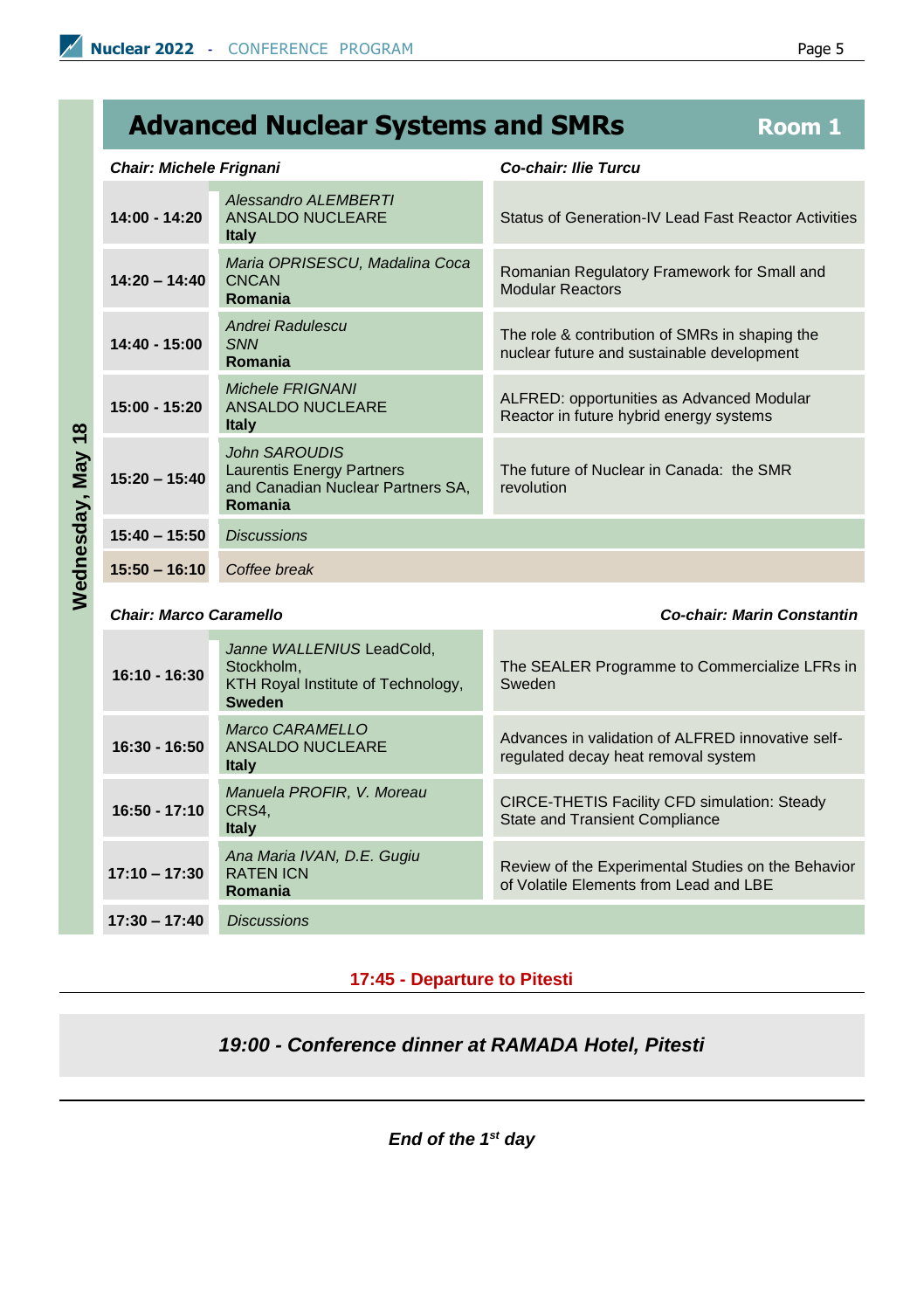### **Advanced Nuclear Systems and SMRs Room 1**

#### *Chair: Michele Frignani Co-chair: Ilie Turcu*

| 14:00 - 14:20   | Alessandro ALEMBERTI<br>ANSALDO NUCLEARE<br><b>Italy</b>                                                 | Status of Generation-IV Lead Fast Reactor Activities                                         |
|-----------------|----------------------------------------------------------------------------------------------------------|----------------------------------------------------------------------------------------------|
| $14:20 - 14:40$ | Maria OPRISESCU, Madalina Coca<br><b>CNCAN</b><br>Romania                                                | Romanian Regulatory Framework for Small and<br><b>Modular Reactors</b>                       |
| $14:40 - 15:00$ | Andrei Radulescu<br><b>SNN</b><br>Romania                                                                | The role & contribution of SMRs in shaping the<br>nuclear future and sustainable development |
| $15:00 - 15:20$ | <b>Michele FRIGNANI</b><br>ANSALDO NUCLEARE<br><b>Italy</b>                                              | ALFRED: opportunities as Advanced Modular<br>Reactor in future hybrid energy systems         |
| $15:20 - 15:40$ | <b>John SAROUDIS</b><br><b>Laurentis Energy Partners</b><br>and Canadian Nuclear Partners SA,<br>Romania | The future of Nuclear in Canada: the SMR<br>revolution                                       |
| $15:40 - 15:50$ | <b>Discussions</b>                                                                                       |                                                                                              |
| $15:50 - 16:10$ | Coffee break                                                                                             |                                                                                              |

**Wednesday, May 18**

Wednesday, May 18

*Chair: Marco Caramello Co-chair: Marin Constantin*

| $16:10 - 16:30$ | Janne WALLENIUS LeadCold,<br>Stockholm.<br>KTH Royal Institute of Technology,<br>Sweden | The SEALER Programme to Commercialize LFRs in<br>Sweden                                      |
|-----------------|-----------------------------------------------------------------------------------------|----------------------------------------------------------------------------------------------|
| 16:30 - 16:50   | Marco CARAMELLO<br>ANSALDO NUCLEARE<br><b>Italy</b>                                     | Advances in validation of ALFRED innovative self-<br>regulated decay heat removal system     |
| $16:50 - 17:10$ | Manuela PROFIR, V. Moreau<br>CRS4.<br><b>Italy</b>                                      | CIRCE-THETIS Facility CFD simulation: Steady<br><b>State and Transient Compliance</b>        |
| $17:10 - 17:30$ | Ana Maria IVAN, D.E. Gugiu<br><b>RATEN ICN</b><br>Romania                               | Review of the Experimental Studies on the Behavior<br>of Volatile Elements from Lead and LBE |
| $17:30 - 17:40$ | <b>Discussions</b>                                                                      |                                                                                              |

#### **17:45 - Departure to Pitesti**

#### *19:00 - Conference dinner at RAMADA Hotel, Pitesti*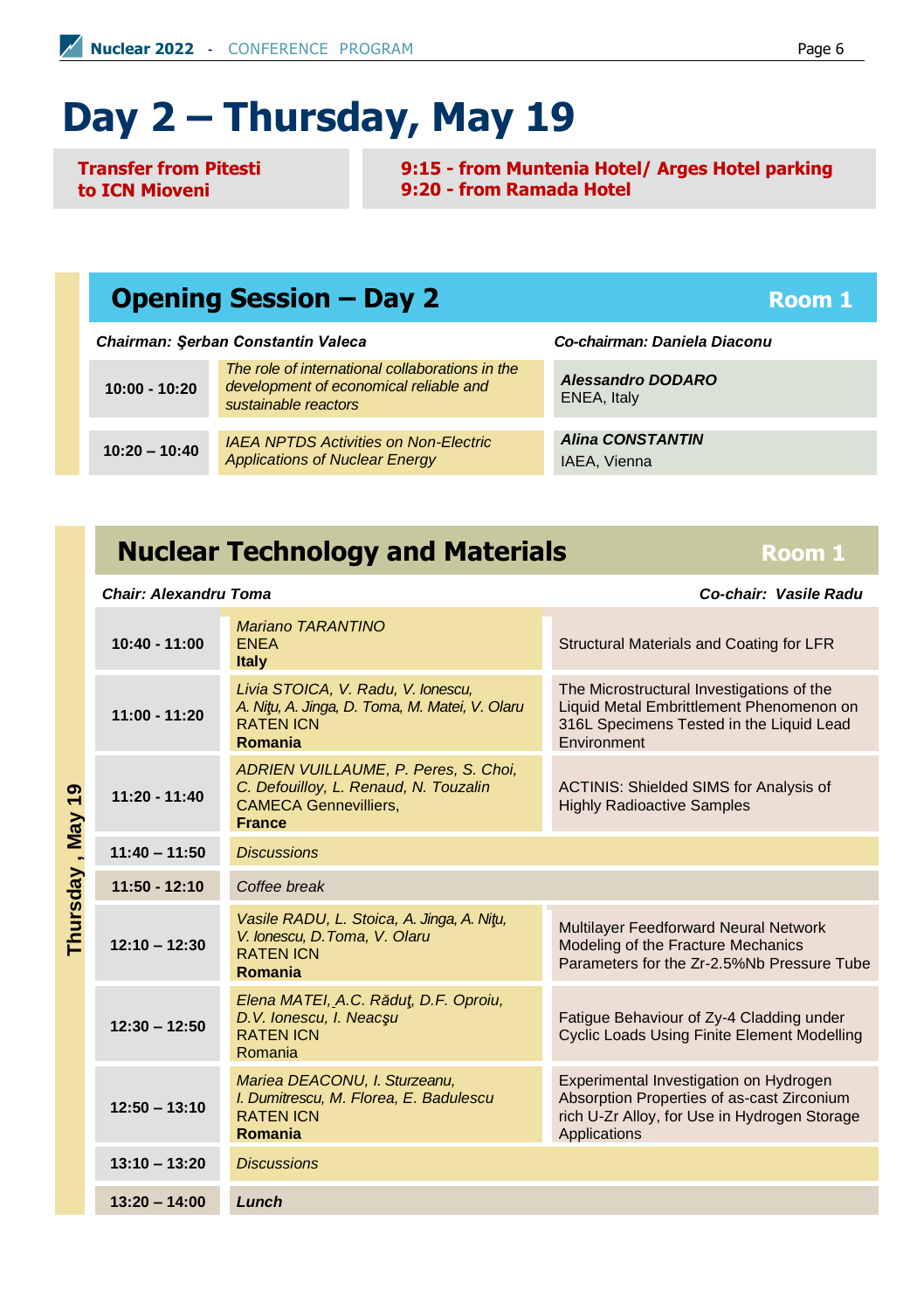# **Day 2 – Thursday, May 19**

**Transfer from Pitesti to ICN Mioveni**

**9:15 - from Muntenia Hotel/ Arges Hotel parking 9:20 - from Ramada Hotel**

#### **Opening Session – Day 2 Room 1 Room 1**

*Chairman: Şerban Constantin Valeca Co-chairman: Daniela Diaconu*

| $10:00 - 10:20$ | The role of international collaborations in the<br>development of economical reliable and<br>sustainable reactors |  |
|-----------------|-------------------------------------------------------------------------------------------------------------------|--|
|                 |                                                                                                                   |  |
| $10:20 - 10:40$ | <b>IAEA NPTDS Activities on Non-Electric</b><br><b>Applications of Nuclear Energy</b>                             |  |

*Alessandro DODARO* ENEA, Italy

*Alina CONSTANTIN*  IAEA, Vienna

### **Nuclear Technology and Materials** *Room 1*

| ဒု            | $10:40 - 11:00$ | Mariano TARANTINO<br><b>ENEA</b><br><b>Italy</b>                                                                               | Structural Materials and Coating for LFR                                                                                                                    |
|---------------|-----------------|--------------------------------------------------------------------------------------------------------------------------------|-------------------------------------------------------------------------------------------------------------------------------------------------------------|
|               | $11:00 - 11:20$ | Livia STOICA, V. Radu, V. Ionescu,<br>A. Nitu, A. Jinga, D. Toma, M. Matei, V. Olaru<br><b>RATEN ICN</b><br>Romania            | The Microstructural Investigations of the<br>Liquid Metal Embrittlement Phenomenon on<br>316L Specimens Tested in the Liquid Lead<br>Environment            |
|               | $11:20 - 11:40$ | ADRIEN VUILLAUME, P. Peres, S. Choi,<br>C. Defouilloy, L. Renaud, N. Touzalin<br><b>CAMECA Gennevilliers,</b><br><b>France</b> | <b>ACTINIS: Shielded SIMS for Analysis of</b><br><b>Highly Radioactive Samples</b>                                                                          |
|               | $11:40 - 11:50$ | <b>Discussions</b>                                                                                                             |                                                                                                                                                             |
|               | $11:50 - 12:10$ | Coffee break                                                                                                                   |                                                                                                                                                             |
| Thursday, May | $12:10 - 12:30$ | Vasile RADU, L. Stoica, A. Jinga, A. Nitu,<br>V. Ionescu, D. Toma, V. Olaru<br><b>RATEN ICN</b><br>Romania                     | Multilayer Feedforward Neural Network<br>Modeling of the Fracture Mechanics<br>Parameters for the Zr-2.5%Nb Pressure Tube                                   |
|               | $12:30 - 12:50$ | Elena MATEI, A.C. Rădut, D.F. Oproiu,<br>D.V. Ionescu, I. Neacsu<br><b>RATEN ICN</b><br>Romania                                | Fatigue Behaviour of Zy-4 Cladding under<br><b>Cyclic Loads Using Finite Element Modelling</b>                                                              |
|               | $12:50 - 13:10$ | Mariea DEACONU, I. Sturzeanu,<br>I. Dumitrescu, M. Florea, E. Badulescu<br><b>RATEN ICN</b><br>Romania                         | Experimental Investigation on Hydrogen<br>Absorption Properties of as-cast Zirconium<br>rich U-Zr Alloy, for Use in Hydrogen Storage<br><b>Applications</b> |
|               | $13:10 - 13:20$ | <b>Discussions</b>                                                                                                             |                                                                                                                                                             |
|               | $13:20 - 14:00$ | Lunch                                                                                                                          |                                                                                                                                                             |

*Chair: Alexandru Toma Co-chair: Vasile Radu*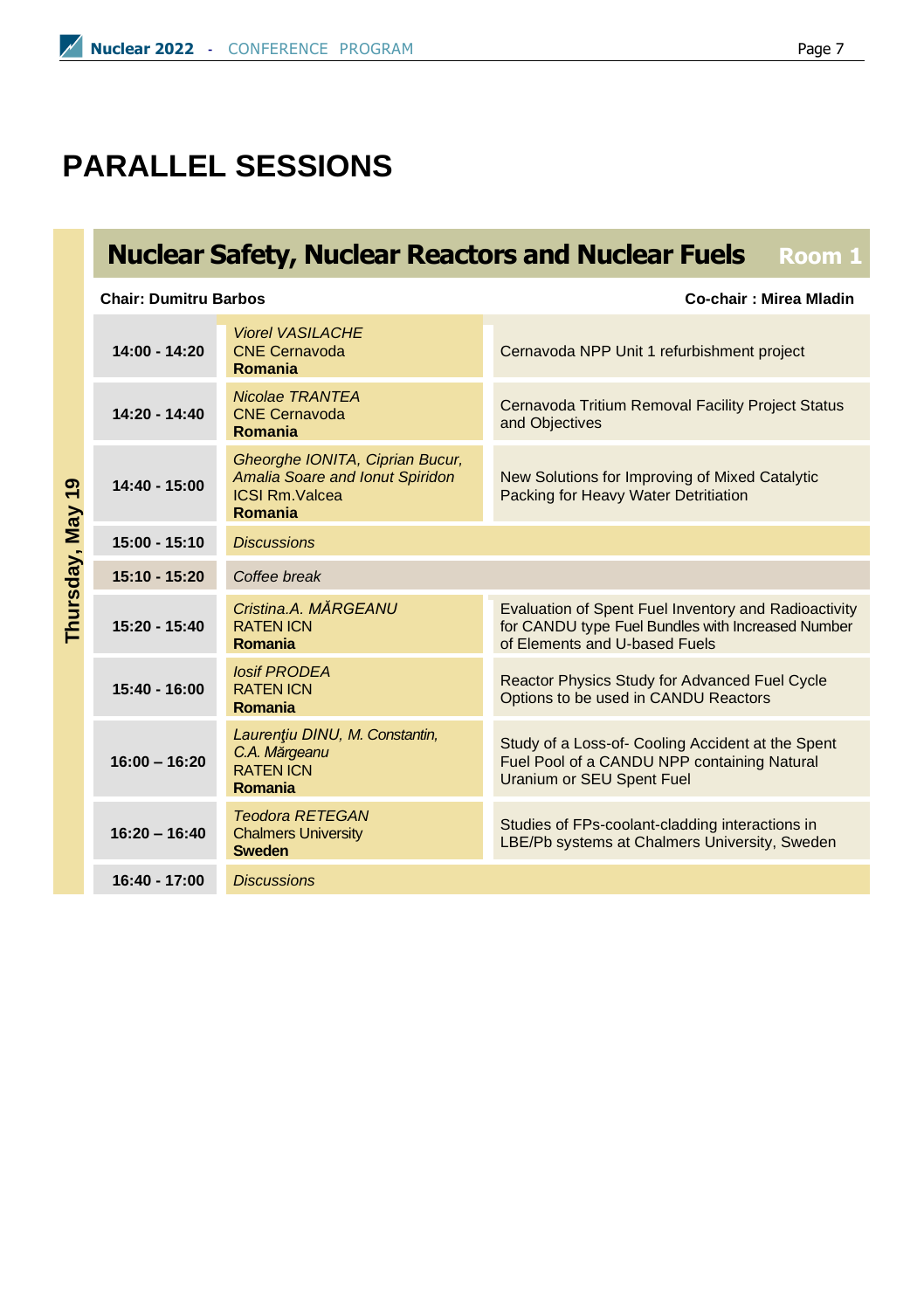## **PARALLEL SESSIONS**

## **Nuclear Safety, Nuclear Reactors and Nuclear Fuels Room 1**

**Chair: Dumitru Barbos Co-chair : Mirea Mladin**

|            | $14:00 - 14:20$                                                                                                                                 | <b>Viorel VASILACHE</b><br><b>CNE Cernavoda</b><br>Romania                                                                                 | Cernavoda NPP Unit 1 refurbishment project                                                                                    |
|------------|-------------------------------------------------------------------------------------------------------------------------------------------------|--------------------------------------------------------------------------------------------------------------------------------------------|-------------------------------------------------------------------------------------------------------------------------------|
| ల్ల        | $14:20 - 14:40$                                                                                                                                 | <b>Nicolae TRANTEA</b><br><b>CNE Cernavoda</b><br>Romania                                                                                  | Cernavoda Tritium Removal Facility Project Status<br>and Objectives                                                           |
|            | $14:40 - 15:00$                                                                                                                                 | Gheorghe IONITA, Ciprian Bucur,<br>Amalia Soare and Ionut Spiridon<br><b>ICSI Rm.Valcea</b><br>Romania                                     | New Solutions for Improving of Mixed Catalytic<br>Packing for Heavy Water Detritiation                                        |
| <b>May</b> | $15:00 - 15:10$                                                                                                                                 | <b>Discussions</b>                                                                                                                         |                                                                                                                               |
|            | $15:10 - 15:20$                                                                                                                                 | Coffee break                                                                                                                               |                                                                                                                               |
| hursday,   | Cristina.A. MĂRGEANU<br>$15:20 - 15:40$<br><b>RATEN ICN</b><br>Romania<br><b>losif PRODEA</b><br>$15:40 - 16:00$<br><b>RATEN ICN</b><br>Romania | Evaluation of Spent Fuel Inventory and Radioactivity<br>for CANDU type Fuel Bundles with Increased Number<br>of Elements and U-based Fuels |                                                                                                                               |
|            |                                                                                                                                                 | Reactor Physics Study for Advanced Fuel Cycle<br>Options to be used in CANDU Reactors                                                      |                                                                                                                               |
|            | $16:00 - 16:20$                                                                                                                                 | Laurentiu DINU, M. Constantin,<br>C.A. Mărgeanu<br><b>RATEN ICN</b><br>Romania                                                             | Study of a Loss-of- Cooling Accident at the Spent<br>Fuel Pool of a CANDU NPP containing Natural<br>Uranium or SEU Spent Fuel |
|            | $16:20 - 16:40$                                                                                                                                 | <b>Teodora RETEGAN</b><br><b>Chalmers University</b><br><b>Sweden</b>                                                                      | Studies of FPs-coolant-cladding interactions in<br>LBE/Pb systems at Chalmers University, Sweden                              |
|            | <b>Discussions</b><br>$16:40 - 17:00$                                                                                                           |                                                                                                                                            |                                                                                                                               |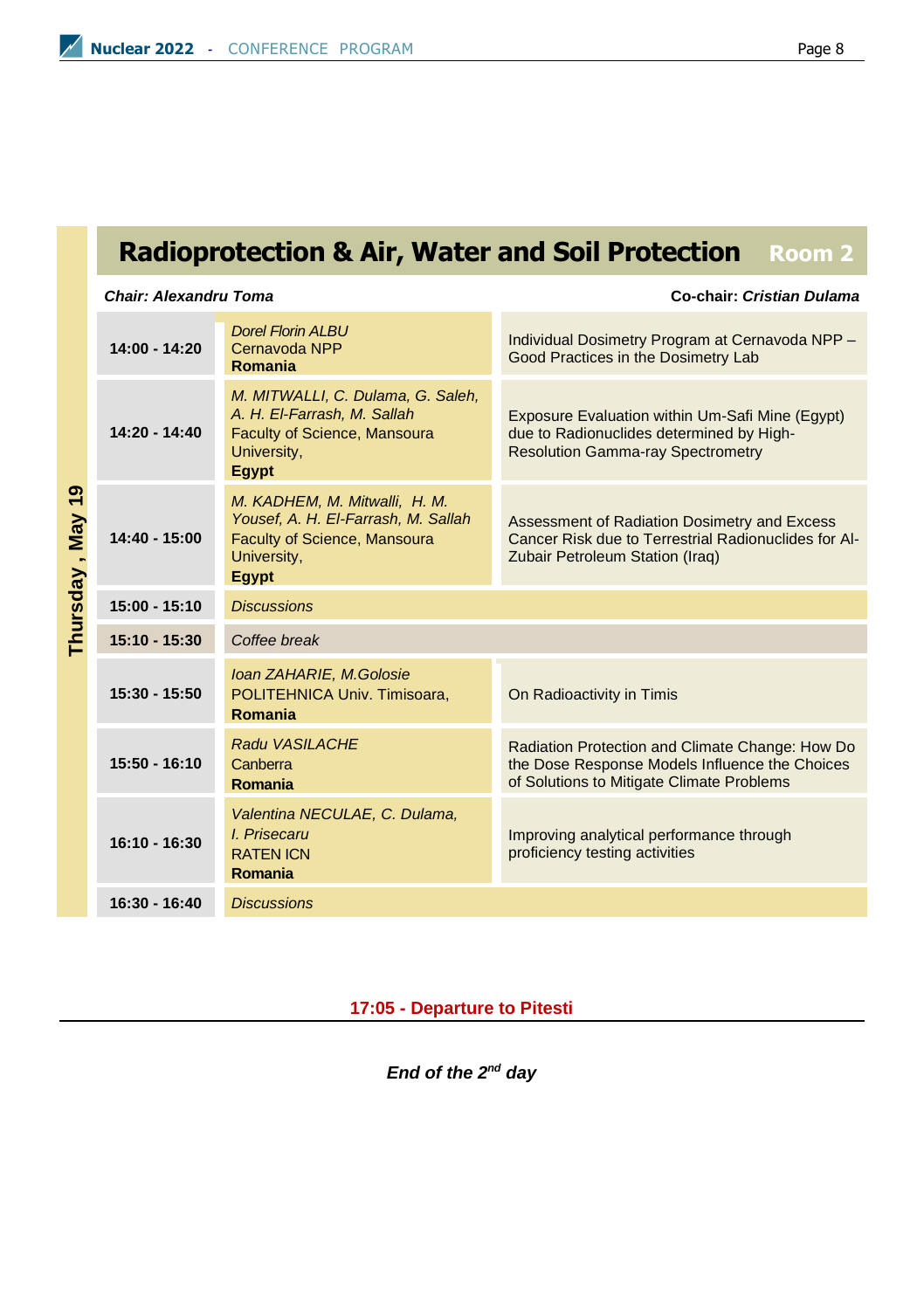## **Radioprotection & Air, Water and Soil Protection Room 2**

#### *Chair: Alexandru Toma* **Co-chair:** *Cristian Dulama*

|                                   | $14:00 - 14:20$ | <b>Dorel Florin ALBU</b><br>Cernavoda NPP<br>Romania                                                                                | Individual Dosimetry Program at Cernavoda NPP -<br>Good Practices in the Dosimetry Lab                                                         |  |
|-----------------------------------|-----------------|-------------------------------------------------------------------------------------------------------------------------------------|------------------------------------------------------------------------------------------------------------------------------------------------|--|
| ၜ<br>÷<br><b>May</b><br>Thursday, | $14:20 - 14:40$ | M. MITWALLI, C. Dulama, G. Saleh,<br>A. H. El-Farrash, M. Sallah<br><b>Faculty of Science, Mansoura</b><br>University,<br>Egypt     | Exposure Evaluation within Um-Safi Mine (Eqypt)<br>due to Radionuclides determined by High-<br><b>Resolution Gamma-ray Spectrometry</b>        |  |
|                                   | $14:40 - 15:00$ | M. KADHEM, M. Mitwalli, H. M.<br>Yousef, A. H. El-Farrash, M. Sallah<br><b>Faculty of Science, Mansoura</b><br>University,<br>Egypt | Assessment of Radiation Dosimetry and Excess<br>Cancer Risk due to Terrestrial Radionuclides for Al-<br>Zubair Petroleum Station (Iraq)        |  |
|                                   | $15:00 - 15:10$ | <b>Discussions</b>                                                                                                                  |                                                                                                                                                |  |
|                                   | $15:10 - 15:30$ | Coffee break                                                                                                                        |                                                                                                                                                |  |
|                                   | $15:30 - 15:50$ | Ioan ZAHARIE, M.Golosie<br>POLITEHNICA Univ. Timisoara.<br>Romania                                                                  | On Radioactivity in Timis                                                                                                                      |  |
|                                   | $15:50 - 16:10$ | Radu VASILACHE<br>Canberra<br>Romania                                                                                               | Radiation Protection and Climate Change: How Do<br>the Dose Response Models Influence the Choices<br>of Solutions to Mitigate Climate Problems |  |
|                                   | $16:10 - 16:30$ | Valentina NECULAE, C. Dulama,<br>I. Prisecaru<br><b>RATEN ICN</b><br>Romania                                                        | Improving analytical performance through<br>proficiency testing activities                                                                     |  |
|                                   | $16:30 - 16:40$ | <b>Discussions</b>                                                                                                                  |                                                                                                                                                |  |

**17:05 - Departure to Pitesti**

*End of the 2nd day*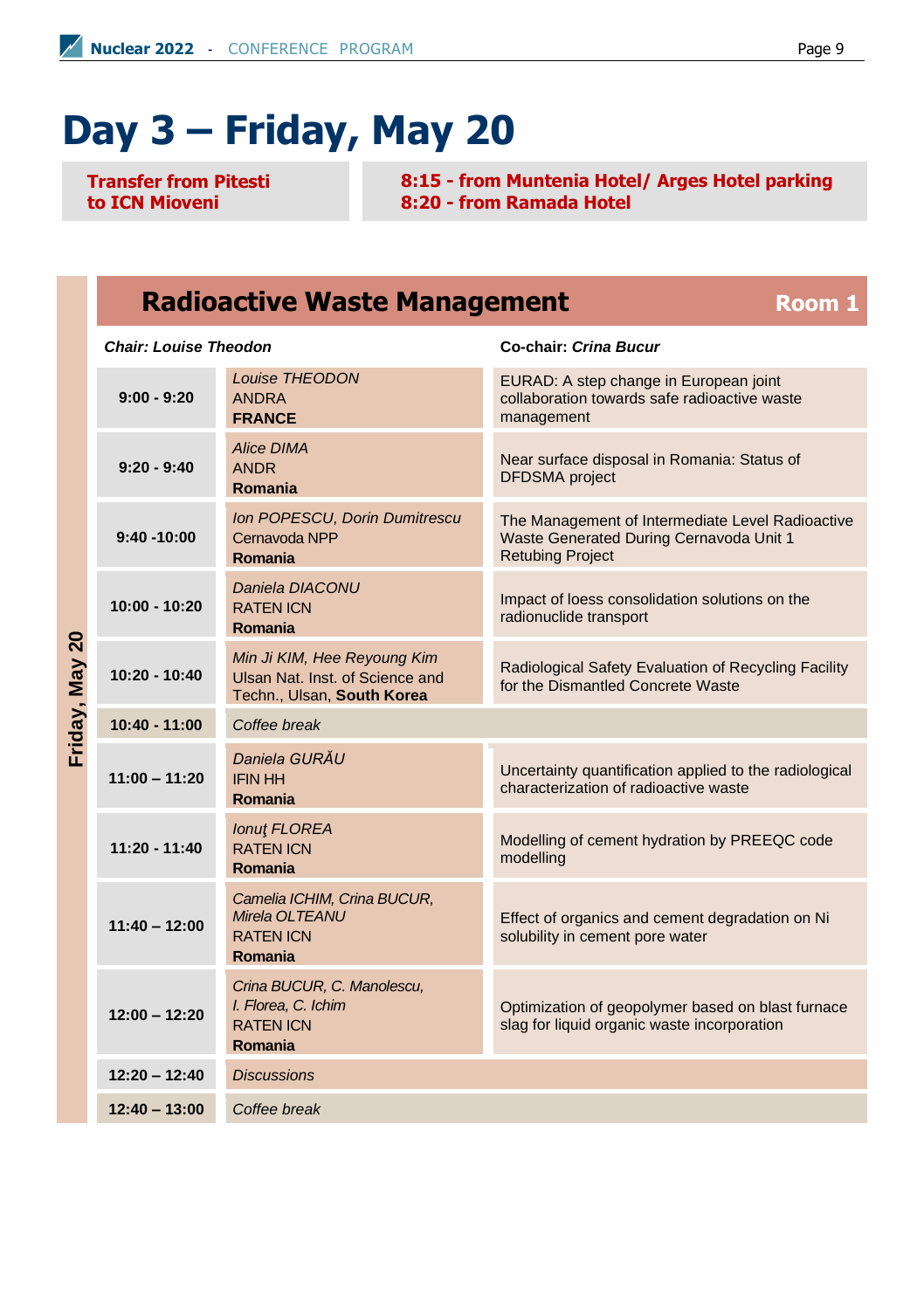# **Day 3 – Friday, May 20**

**Transfer from Pitesti to ICN Mioveni**

**8:15 - from Muntenia Hotel/ Arges Hotel parking 8:20 - from Ramada Hotel**

#### **Radioactive Waste Management Room 1**

#### *Chair: Louise Theodon* **Co-chair:** *Crina Bucur*

*Louise THEODON* EURAD: A step change in European joint **9:00 - 9:20** ANDRA collaboration towards safe radioactive waste **FRANCE** management *Alice DIMA* Near surface disposal in Romania: Status of **9:20 - 9:40** ANDR DFDSMA project **Romania** *Ion POPESCU, Dorin Dumitrescu* The Management of Intermediate Level Radioactive **9:40 -10:00** Cernavoda NPP Waste Generated During Cernavoda Unit 1 Retubing Project **Romania** *Daniela DIACONU* Impact of loess consolidation solutions on the **10:00 - 10:20** RATEN ICN radionuclide transport **Romania** Friday, May 20 **Friday, May 20** *Min Ji KIM, Hee Reyoung Kim* Radiological Safety Evaluation of Recycling Facility **10:20 - 10:40** Ulsan Nat. Inst. of Science and for the Dismantled Concrete Waste Techn., Ulsan, **South Korea 10:40 - 11:00** *Coffee break Daniela GURĂU* Uncertainty quantification applied to the radiological **11:00 – 11:20** IFIN HH characterization of radioactive waste **Romania** *Ionuţ FLOREA* Modelling of cement hydration by PREEQC code **11:20 - 11:40** RATEN ICN modelling **Romania** *Camelia ICHIM, Crina BUCUR, Mirela OLTEANU* Effect of organics and cement degradation on Ni **11:40 – 12:00** RATEN ICN solubility in cement pore water **Romania** *Crina BUCUR, C. Manolescu, I. Florea, C. Ichim* Optimization of geopolymer based on blast furnace **12:00 – 12:20**  slag for liquid organic waste incorporation RATEN ICN **Romania 12:20 – 12:40** *Discussions* **12:40 – 13:00** *Coffee break*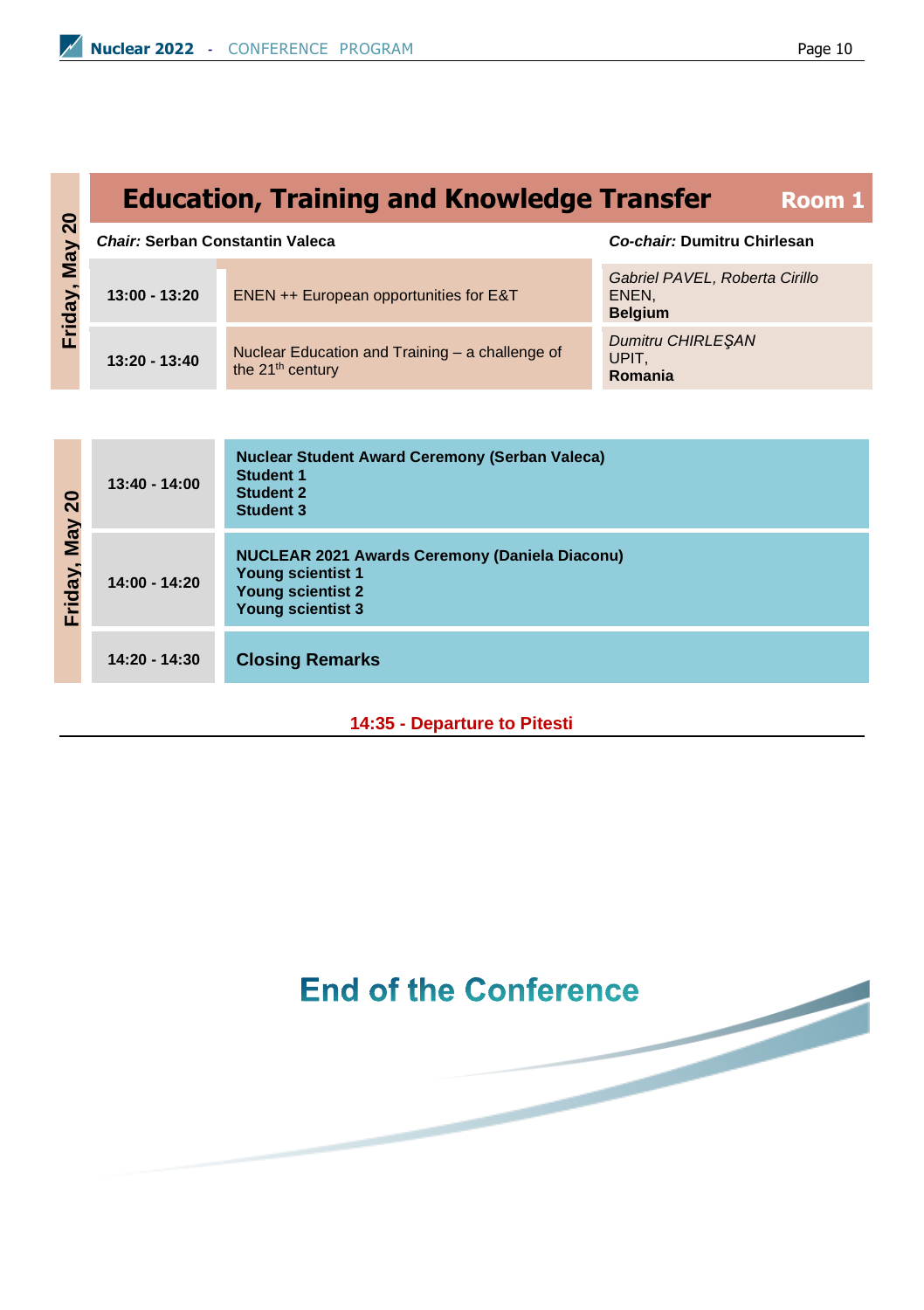## **Education, Training and Knowledge Transfer Room 1** *Chair:* **Serban Constantin Valeca** *Co-chair:* **Dumitru Chirlesan**

| $\circ$<br>$\bar{N}$                        | Chair: Serban Constantin Valeca |                                                                                 | Co-chair: Dumitru Chirlesan                               |
|---------------------------------------------|---------------------------------|---------------------------------------------------------------------------------|-----------------------------------------------------------|
| $\mathbf{M}$ ay<br>$\mathbf{\widetilde{a}}$ | $13:00 - 13:20$                 | ENEN ++ European opportunities for E&T                                          | Gabriel PAVEL, Roberta Cirillo<br>ENEN.<br><b>Belaium</b> |
| 곧<br>II.                                    | $13:20 - 13:40$                 | Nuclear Education and Training - a challenge of<br>the 21 <sup>th</sup> century | <b>Dumitru CHIRLESAN</b><br>UPIT.<br>Romania              |

| 20<br>Vay<br>riday<br>п | $13:40 - 14:00$ | <b>Nuclear Student Award Ceremony (Serban Valeca)</b><br><b>Student 1</b><br><b>Student 2</b><br><b>Student 3</b>                  |
|-------------------------|-----------------|------------------------------------------------------------------------------------------------------------------------------------|
|                         | 14:00 - 14:20   | NUCLEAR 2021 Awards Ceremony (Daniela Diaconu)<br><b>Young scientist 1</b><br><b>Young scientist 2</b><br><b>Young scientist 3</b> |
|                         | $14:20 - 14:30$ | <b>Closing Remarks</b>                                                                                                             |

#### **14:35 - Departure to Pitesti**

## **End of the Conference**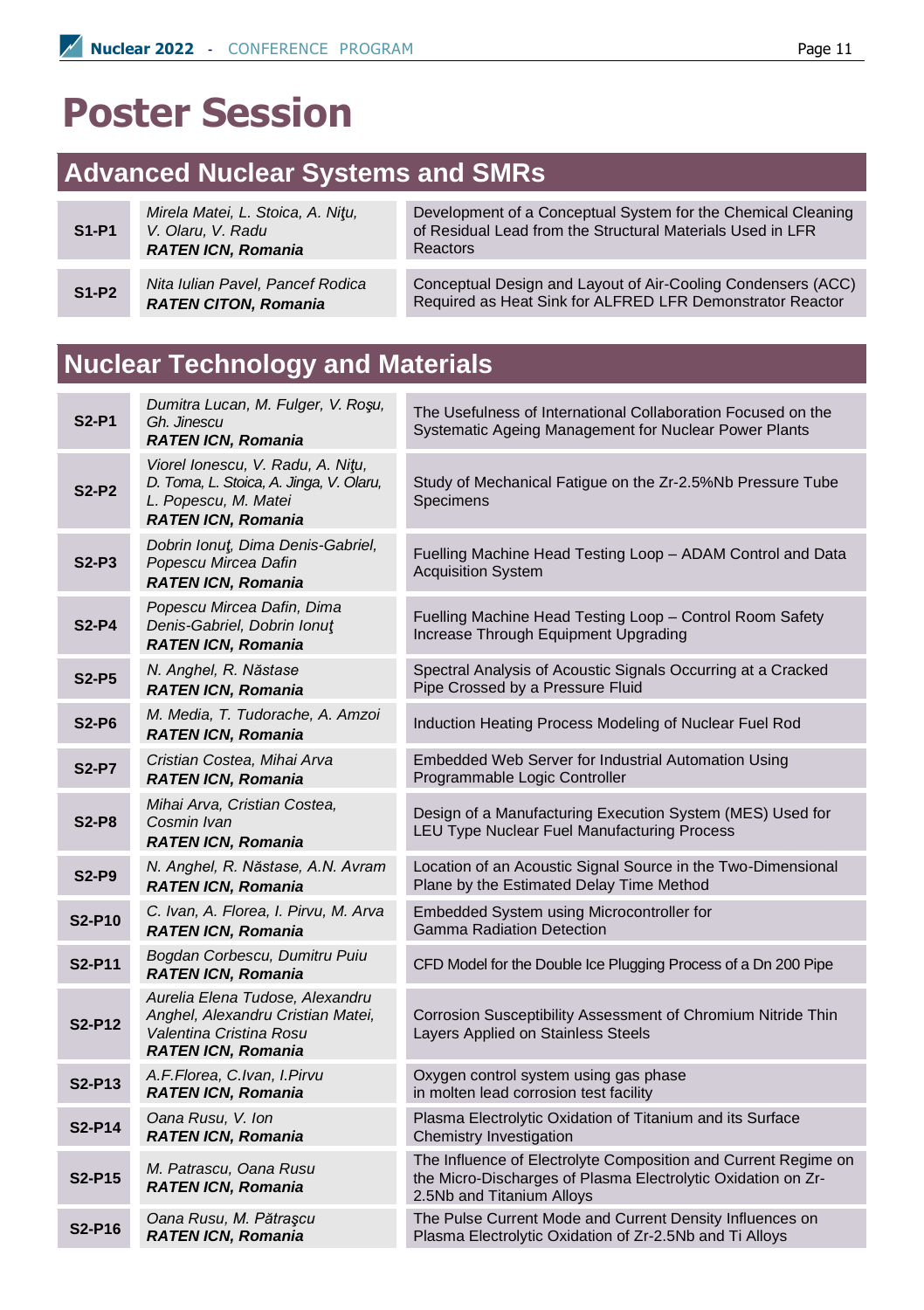## **Poster Session**

### **Advanced Nuclear Systems and SMRs**

|         | Mirela Matei, L. Stoica, A. Nitu, |
|---------|-----------------------------------|
| $S1-P1$ | V. Olaru. V. Radu                 |
|         | <b>RATEN ICN, Romania</b>         |

**S1-P2** *Nita Iulian Pavel, Pancef Rodica RATEN CITON, Romania*

Development of a Conceptual System for the Chemical Cleaning of Residual Lead from the Structural Materials Used in LFR Reactors

Conceptual Design and Layout of Air-Cooling Condensers (ACC) Required as Heat Sink for ALFRED LFR Demonstrator Reactor

#### **Nuclear Technology and Materials**

| <b>S2-P1</b>                    | Dumitra Lucan, M. Fulger, V. Roşu,<br>Gh. Jinescu<br><b>RATEN ICN, Romania</b>                                                    | The Usefulness of International Collaboration Focused on the<br>Systematic Ageing Management for Nuclear Power Plants                                       |
|---------------------------------|-----------------------------------------------------------------------------------------------------------------------------------|-------------------------------------------------------------------------------------------------------------------------------------------------------------|
| $S2-P2$                         | Viorel Ionescu, V. Radu, A. Nitu,<br>D. Toma, L. Stoica, A. Jinga, V. Olaru,<br>L. Popescu, M. Matei<br><b>RATEN ICN. Romania</b> | Study of Mechanical Fatigue on the Zr-2.5%Nb Pressure Tube<br>Specimens                                                                                     |
| $S2-P3$                         | Dobrin Ionut, Dima Denis-Gabriel,<br>Popescu Mircea Dafin<br><b>RATEN ICN, Romania</b>                                            | Fuelling Machine Head Testing Loop - ADAM Control and Data<br><b>Acquisition System</b>                                                                     |
| $S2-P4$                         | Popescu Mircea Dafin, Dima<br>Denis-Gabriel, Dobrin Ionut<br><b>RATEN ICN, Romania</b>                                            | Fuelling Machine Head Testing Loop - Control Room Safety<br>Increase Through Equipment Upgrading                                                            |
| $S2-P5$                         | N. Anghel, R. Năstase<br><b>RATEN ICN, Romania</b>                                                                                | Spectral Analysis of Acoustic Signals Occurring at a Cracked<br>Pipe Crossed by a Pressure Fluid                                                            |
| $S2-P6$                         | M. Media, T. Tudorache, A. Amzoi<br><b>RATEN ICN, Romania</b>                                                                     | Induction Heating Process Modeling of Nuclear Fuel Rod                                                                                                      |
| <b>S2-P7</b>                    | Cristian Costea, Mihai Arva<br><b>RATEN ICN, Romania</b>                                                                          | Embedded Web Server for Industrial Automation Using<br>Programmable Logic Controller                                                                        |
| <b>S2-P8</b>                    | Mihai Arva, Cristian Costea,<br>Cosmin Ivan<br><b>RATEN ICN, Romania</b>                                                          | Design of a Manufacturing Execution System (MES) Used for<br>LEU Type Nuclear Fuel Manufacturing Process                                                    |
| S <sub>2</sub> -P <sub>9</sub>  | N. Anghel, R. Năstase, A.N. Avram<br><b>RATEN ICN, Romania</b>                                                                    | Location of an Acoustic Signal Source in the Two-Dimensional<br>Plane by the Estimated Delay Time Method                                                    |
| S2-P10                          | C. Ivan, A. Florea, I. Pirvu, M. Arva<br><b>RATEN ICN, Romania</b>                                                                | Embedded System using Microcontroller for<br><b>Gamma Radiation Detection</b>                                                                               |
| S <sub>2</sub> -P <sub>11</sub> | Bogdan Corbescu, Dumitru Puiu<br><b>RATEN ICN, Romania</b>                                                                        | CFD Model for the Double Ice Plugging Process of a Dn 200 Pipe                                                                                              |
| S2-P12                          | Aurelia Elena Tudose, Alexandru<br>Anghel, Alexandru Cristian Matei,<br>Valentina Cristina Rosu<br><b>RATEN ICN, Romania</b>      | Corrosion Susceptibility Assessment of Chromium Nitride Thin<br>Layers Applied on Stainless Steels                                                          |
| S <sub>2</sub> -P <sub>13</sub> | A.F.Florea, C.Ivan, I.Pirvu<br><b>RATEN ICN, Romania</b>                                                                          | Oxygen control system using gas phase<br>in molten lead corrosion test facility                                                                             |
| S2-P14                          | Oana Rusu, V. Ion<br><b>RATEN ICN, Romania</b>                                                                                    | Plasma Electrolytic Oxidation of Titanium and its Surface<br>Chemistry Investigation                                                                        |
| S2-P15                          | M. Patrascu, Oana Rusu<br><b>RATEN ICN, Romania</b>                                                                               | The Influence of Electrolyte Composition and Current Regime on<br>the Micro-Discharges of Plasma Electrolytic Oxidation on Zr-<br>2.5Nb and Titanium Alloys |
| <b>S2-P16</b>                   | Oana Rusu, M. Pătrașcu<br><b>RATEN ICN, Romania</b>                                                                               | The Pulse Current Mode and Current Density Influences on<br>Plasma Electrolytic Oxidation of Zr-2.5Nb and Ti Alloys                                         |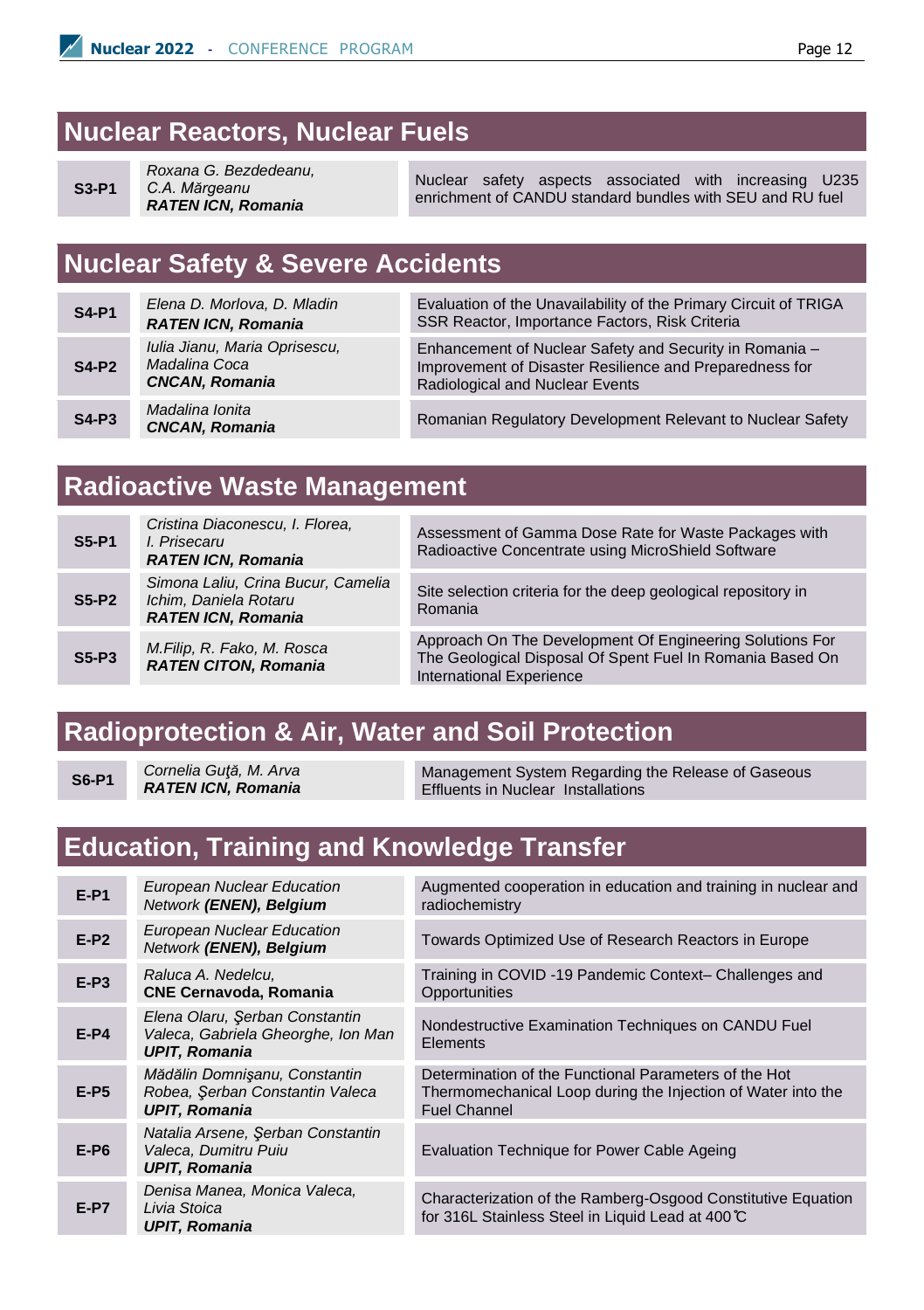#### **Nuclear Reactors, Nuclear Fuels**

```
S3-P1
```
*Roxana G. Bezdedeanu, C.A. Mărgeanu RATEN ICN, Romania*

Nuclear safety aspects associated with increasing U235 enrichment of CANDU standard bundles with SEU and RU fuel

## **Nuclear Safety & Severe Accidents**

| <b>S4-P1</b> | Elena D. Morlova, D. Mladin<br><b>RATEN ICN, Romania</b>                | Evaluation of the Una<br><b>SSR Reactor, Import</b>                      |
|--------------|-------------------------------------------------------------------------|--------------------------------------------------------------------------|
| <b>S4-P2</b> | Iulia Jianu, Maria Oprisescu,<br>Madalina Coca<br><b>CNCAN, Romania</b> | <b>Enhancement of Nuc</b><br>Improvement of Disa<br>Radiological and Nuo |
| $S4-P3$      | Madalina Ionita<br><b>CNCAN, Romania</b>                                | <b>Romanian Regulator</b>                                                |

availability of the Primary Circuit of TRIGA ance Factors, Risk Criteria

lear Safety and Security in Romania – ster Resilience and Preparedness for **Radiological** Fuents

*CNCAN, Romania* Romanian Regulatory Development Relevant to Nuclear Safety

#### **Radioactive Waste Management**

| <b>S5-P1</b> | Cristina Diaconescu, I. Florea,<br>I. Prisecaru<br><b>RATEN ICN, Romania</b>             | Assessment of Gamma Dose Rate for Waste Packages with<br>Radioactive Concentrate using MicroShield Software                                              |
|--------------|------------------------------------------------------------------------------------------|----------------------------------------------------------------------------------------------------------------------------------------------------------|
| <b>S5-P2</b> | Simona Laliu, Crina Bucur, Camelia<br>Ichim, Daniela Rotaru<br><b>RATEN ICN, Romania</b> | Site selection criteria for the deep geological repository in<br>Romania                                                                                 |
| $S5-P3$      | M.Filip, R. Fako, M. Rosca<br><b>RATEN CITON, Romania</b>                                | Approach On The Development Of Engineering Solutions For<br>The Geological Disposal Of Spent Fuel In Romania Based On<br><b>International Experience</b> |

#### **Radioprotection & Air, Water and Soil Protection**

**S6-P1** *Cornelia Guţă, M. Arva RATEN ICN, Romania*

Management System Regarding the Release of Gaseous Effluents in Nuclear Installations

#### **Education, Training and Knowledge Transfer**

| $E-P1$ | <b>European Nuclear Education</b><br>Network (ENEN), Belgium                                 | Augmented cooperation in education and training in nuclear and<br>radiochemistry                                                             |
|--------|----------------------------------------------------------------------------------------------|----------------------------------------------------------------------------------------------------------------------------------------------|
| $E-P2$ | <b>European Nuclear Education</b><br>Network (ENEN), Belgium                                 | Towards Optimized Use of Research Reactors in Europe                                                                                         |
| $E-P3$ | Raluca A. Nedelcu,<br><b>CNE Cernavoda, Romania</b>                                          | Training in COVID-19 Pandemic Context- Challenges and<br>Opportunities                                                                       |
| $E-P4$ | Elena Olaru, Serban Constantin<br>Valeca, Gabriela Gheorghe, Ion Man<br><b>UPIT.</b> Romania | Nondestructive Examination Techniques on CANDU Fuel<br>Elements                                                                              |
| $E-P5$ | Mădălin Domnișanu, Constantin<br>Robea, Serban Constantin Valeca<br><b>UPIT, Romania</b>     | Determination of the Functional Parameters of the Hot<br>Thermomechanical Loop during the Injection of Water into the<br><b>Fuel Channel</b> |
| $E-P6$ | Natalia Arsene, Serban Constantin<br>Valeca. Dumitru Puiu<br><b>UPIT, Romania</b>            | Evaluation Technique for Power Cable Ageing                                                                                                  |
| $E-P7$ | Denisa Manea, Monica Valeca,<br>Livia Stoica<br><b>UPIT, Romania</b>                         | Characterization of the Ramberg-Osgood Constitutive Equation<br>for 316L Stainless Steel in Liquid Lead at 400 ℃                             |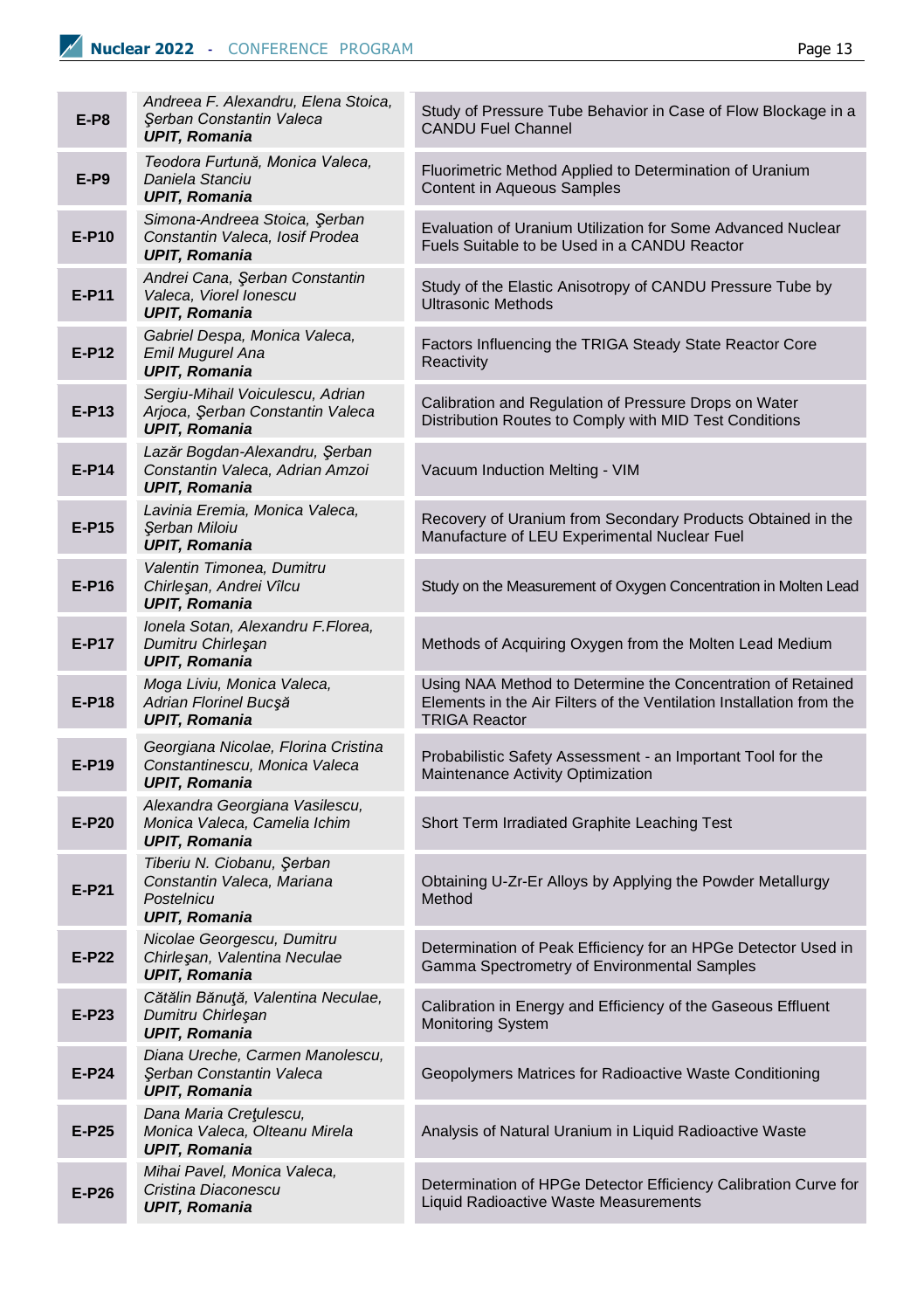| $E-P8$  | Andreea F. Alexandru, Elena Stoica,<br>Şerban Constantin Valeca<br><b>UPIT, Romania</b>        | Study of Pressure Tube Behavior in Case of Flow Blockage in a<br><b>CANDU Fuel Channel</b>                                                                  |
|---------|------------------------------------------------------------------------------------------------|-------------------------------------------------------------------------------------------------------------------------------------------------------------|
| $E-P9$  | Teodora Furtună, Monica Valeca,<br>Daniela Stanciu<br><b>UPIT, Romania</b>                     | Fluorimetric Method Applied to Determination of Uranium<br>Content in Aqueous Samples                                                                       |
| E-P10   | Simona-Andreea Stoica, Şerban<br>Constantin Valeca, Iosif Prodea<br><b>UPIT, Romania</b>       | Evaluation of Uranium Utilization for Some Advanced Nuclear<br>Fuels Suitable to be Used in a CANDU Reactor                                                 |
| E-P11   | Andrei Cana, Şerban Constantin<br>Valeca, Viorel Ionescu<br><b>UPIT, Romania</b>               | Study of the Elastic Anisotropy of CANDU Pressure Tube by<br><b>Ultrasonic Methods</b>                                                                      |
| $E-P12$ | Gabriel Despa, Monica Valeca,<br>Emil Mugurel Ana<br><b>UPIT, Romania</b>                      | Factors Influencing the TRIGA Steady State Reactor Core<br>Reactivity                                                                                       |
| $E-P13$ | Sergiu-Mihail Voiculescu, Adrian<br>Arjoca, Serban Constantin Valeca<br><b>UPIT, Romania</b>   | Calibration and Regulation of Pressure Drops on Water<br>Distribution Routes to Comply with MID Test Conditions                                             |
| $E-P14$ | Lazăr Bogdan-Alexandru, Şerban<br>Constantin Valeca, Adrian Amzoi<br><b>UPIT, Romania</b>      | Vacuum Induction Melting - VIM                                                                                                                              |
| E-P15   | Lavinia Eremia, Monica Valeca,<br>Şerban Miloiu<br><b>UPIT, Romania</b>                        | Recovery of Uranium from Secondary Products Obtained in the<br>Manufacture of LEU Experimental Nuclear Fuel                                                 |
| $E-P16$ | Valentin Timonea, Dumitru<br>Chirleşan, Andrei Vîlcu<br><b>UPIT, Romania</b>                   | Study on the Measurement of Oxygen Concentration in Molten Lead                                                                                             |
| E-P17   | Ionela Sotan, Alexandru F.Florea,<br>Dumitru Chirleşan<br><b>UPIT, Romania</b>                 | Methods of Acquiring Oxygen from the Molten Lead Medium                                                                                                     |
| E-P18   | Moga Liviu, Monica Valeca,<br>Adrian Florinel Bucșă<br><b>UPIT, Romania</b>                    | Using NAA Method to Determine the Concentration of Retained<br>Elements in the Air Filters of the Ventilation Installation from the<br><b>TRIGA Reactor</b> |
| E-P19   | Georgiana Nicolae, Florina Cristina<br>Constantinescu, Monica Valeca<br><b>UPIT, Romania</b>   | Probabilistic Safety Assessment - an Important Tool for the<br>Maintenance Activity Optimization                                                            |
| E-P20   | Alexandra Georgiana Vasilescu,<br>Monica Valeca, Camelia Ichim<br><b>UPIT, Romania</b>         | Short Term Irradiated Graphite Leaching Test                                                                                                                |
| $E-P21$ | Tiberiu N. Ciobanu, Şerban<br>Constantin Valeca, Mariana<br>Postelnicu<br><b>UPIT, Romania</b> | Obtaining U-Zr-Er Alloys by Applying the Powder Metallurgy<br>Method                                                                                        |
| E-P22   | Nicolae Georgescu, Dumitru<br>Chirleşan, Valentina Neculae<br><b>UPIT, Romania</b>             | Determination of Peak Efficiency for an HPGe Detector Used in<br>Gamma Spectrometry of Environmental Samples                                                |
| E-P23   | Cătălin Bănuță, Valentina Neculae,<br>Dumitru Chirleşan<br><b>UPIT, Romania</b>                | Calibration in Energy and Efficiency of the Gaseous Effluent<br><b>Monitoring System</b>                                                                    |
| E-P24   | Diana Ureche, Carmen Manolescu,<br>Serban Constantin Valeca<br><b>UPIT, Romania</b>            | Geopolymers Matrices for Radioactive Waste Conditioning                                                                                                     |
| E-P25   | Dana Maria Cretulescu,<br>Monica Valeca, Olteanu Mirela<br><b>UPIT, Romania</b>                | Analysis of Natural Uranium in Liquid Radioactive Waste                                                                                                     |
| E-P26   | Mihai Pavel, Monica Valeca,<br>Cristina Diaconescu<br><b>UPIT, Romania</b>                     | Determination of HPGe Detector Efficiency Calibration Curve for<br>Liquid Radioactive Waste Measurements                                                    |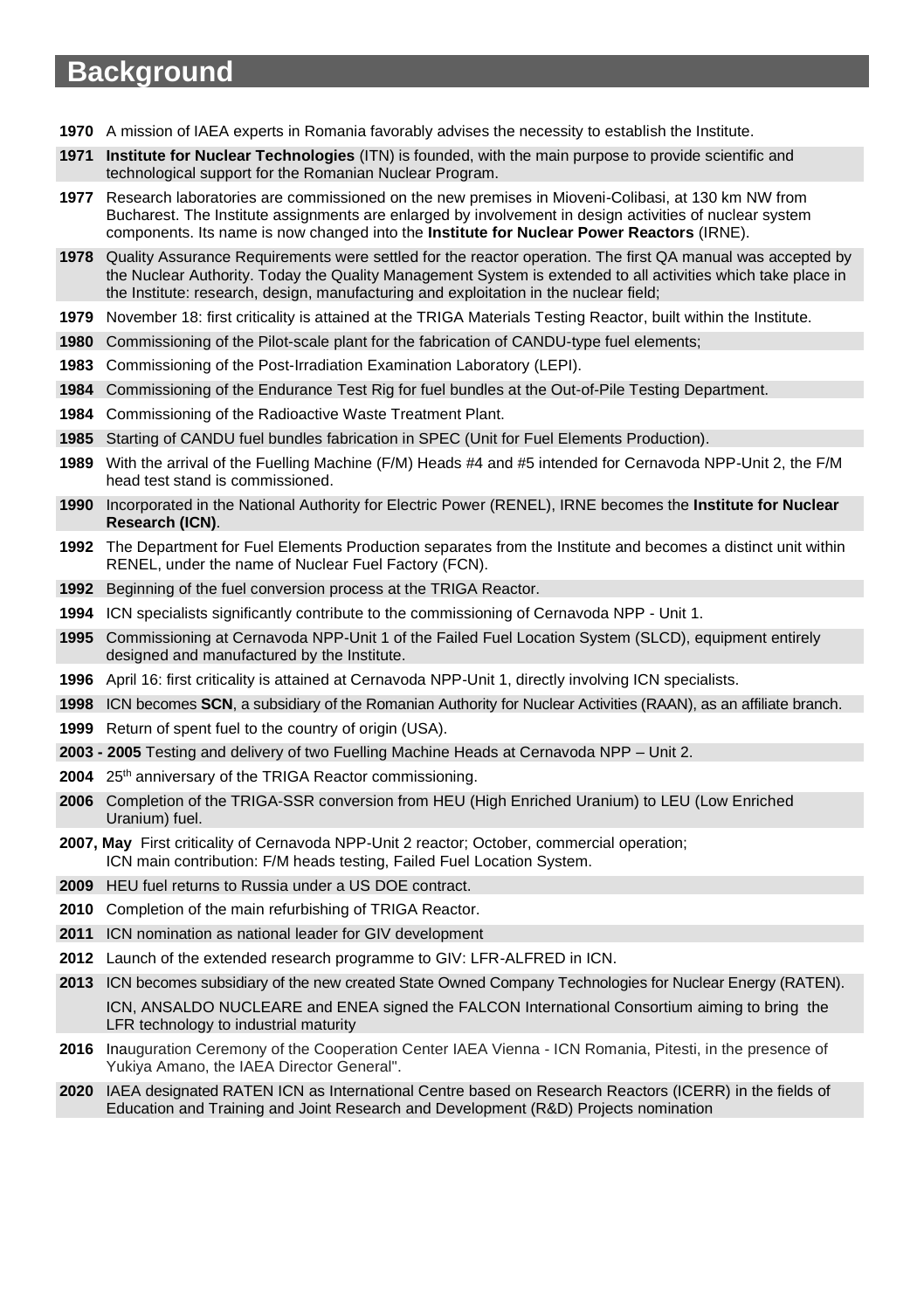#### **Background**

- A mission of IAEA experts in Romania favorably advises the necessity to establish the Institute.
- **Institute for Nuclear Technologies** (ITN) is founded, with the main purpose to provide scientific and technological support for the Romanian Nuclear Program.
- Research laboratories are commissioned on the new premises in Mioveni-Colibasi, at 130 km NW from Bucharest. The Institute assignments are enlarged by involvement in design activities of nuclear system components. Its name is now changed into the **Institute for Nuclear Power Reactors** (IRNE).
- Quality Assurance Requirements were settled for the reactor operation. The first QA manual was accepted by the Nuclear Authority. Today the Quality Management System is extended to all activities which take place in the Institute: research, design, manufacturing and exploitation in the nuclear field;
- November 18: first criticality is attained at the TRIGA Materials Testing Reactor, built within the Institute.
- Commissioning of the Pilot-scale plant for the fabrication of CANDU-type fuel elements;
- Commissioning of the Post-Irradiation Examination Laboratory (LEPI).
- Commissioning of the Endurance Test Rig for fuel bundles at the Out-of-Pile Testing Department.
- Commissioning of the Radioactive Waste Treatment Plant.
- Starting of CANDU fuel bundles fabrication in SPEC (Unit for Fuel Elements Production).
- With the arrival of the Fuelling Machine (F/M) Heads #4 and #5 intended for Cernavoda NPP-Unit 2, the F/M head test stand is commissioned.
- Incorporated in the National Authority for Electric Power (RENEL), IRNE becomes the **Institute for Nuclear Research (ICN)**.
- The Department for Fuel Elements Production separates from the Institute and becomes a distinct unit within RENEL, under the name of Nuclear Fuel Factory (FCN).
- Beginning of the fuel conversion process at the TRIGA Reactor.
- ICN specialists significantly contribute to the commissioning of Cernavoda NPP Unit 1.
- Commissioning at Cernavoda NPP-Unit 1 of the Failed Fuel Location System (SLCD), equipment entirely designed and manufactured by the Institute.
- April 16: first criticality is attained at Cernavoda NPP-Unit 1, directly involving ICN specialists.
- ICN becomes **SCN**, a subsidiary of the Romanian Authority for Nuclear Activities (RAAN), as an affiliate branch.
- Return of spent fuel to the country of origin (USA).
- **- 2005** Testing and delivery of two Fuelling Machine Heads at Cernavoda NPP Unit 2.
- 2004 25<sup>th</sup> anniversary of the TRIGA Reactor commissioning.
- Completion of the TRIGA-SSR conversion from HEU (High Enriched Uranium) to LEU (Low Enriched Uranium) fuel.
- **2007, May** First criticality of Cernavoda NPP-Unit 2 reactor; October, commercial operation; ICN main contribution: F/M heads testing, Failed Fuel Location System.
- HEU fuel returns to Russia under a US DOE contract.
- Completion of the main refurbishing of TRIGA Reactor.
- ICN nomination as national leader for GIV development
- Launch of the extended research programme to GIV: LFR-ALFRED in ICN.

 ICN becomes subsidiary of the new created State Owned Company Technologies for Nuclear Energy (RATEN). ICN, ANSALDO NUCLEARE and ENEA signed the FALCON International Consortium aiming to bring the LFR technology to industrial maturity

- Inauguration Ceremony of the Cooperation Center IAEA Vienna ICN Romania, Pitesti, in the presence of Yukiya Amano, the IAEA Director General".
- IAEA designated RATEN ICN as International Centre based on Research Reactors (ICERR) in the fields of Education and Training and Joint Research and Development (R&D) Projects nomination